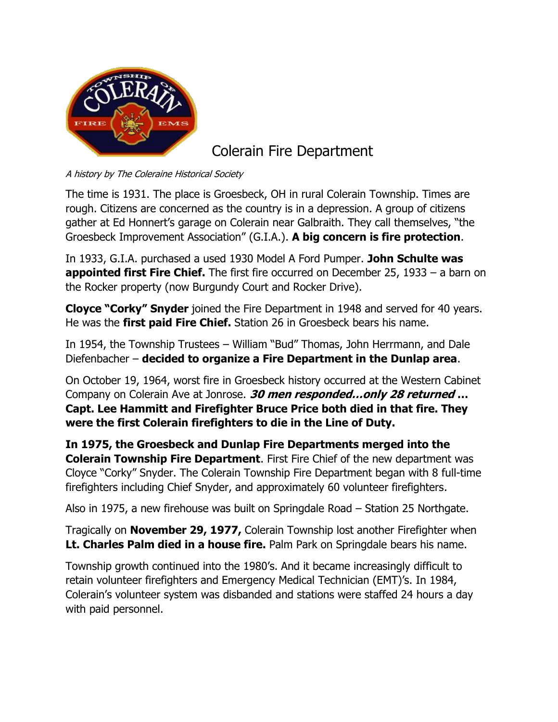

Colerain Fire Department

A history by The Coleraine Historical Society

The time is 1931. The place is Groesbeck, OH in rural Colerain Township. Times are rough. Citizens are concerned as the country is in a depression. A group of citizens gather at Ed Honnert's garage on Colerain near Galbraith. They call themselves, "the Groesbeck Improvement Association" (G.I.A.). **A big concern is fire protection**.

In 1933, G.I.A. purchased a used 1930 Model A Ford Pumper. **John Schulte was appointed first Fire Chief.** The first fire occurred on December 25, 1933 – a barn on the Rocker property (now Burgundy Court and Rocker Drive).

**Cloyce "Corky" Snyder** joined the Fire Department in 1948 and served for 40 years. He was the **first paid Fire Chief.** Station 26 in Groesbeck bears his name.

In 1954, the Township Trustees – William "Bud" Thomas, John Herrmann, and Dale Diefenbacher – **decided to organize a Fire Department in the Dunlap area**.

On October 19, 1964, worst fire in Groesbeck history occurred at the Western Cabinet Company on Colerain Ave at Jonrose. **30 men responded…only 28 returned … Capt. Lee Hammitt and Firefighter Bruce Price both died in that fire. They were the first Colerain firefighters to die in the Line of Duty.**

**In 1975, the Groesbeck and Dunlap Fire Departments merged into the Colerain Township Fire Department**. First Fire Chief of the new department was Cloyce "Corky" Snyder. The Colerain Township Fire Department began with 8 full-time firefighters including Chief Snyder, and approximately 60 volunteer firefighters.

Also in 1975, a new firehouse was built on Springdale Road – Station 25 Northgate.

Tragically on **November 29, 1977,** Colerain Township lost another Firefighter when **Lt. Charles Palm died in a house fire.** Palm Park on Springdale bears his name.

Township growth continued into the 1980's. And it became increasingly difficult to retain volunteer firefighters and Emergency Medical Technician (EMT)'s. In 1984, Colerain's volunteer system was disbanded and stations were staffed 24 hours a day with paid personnel.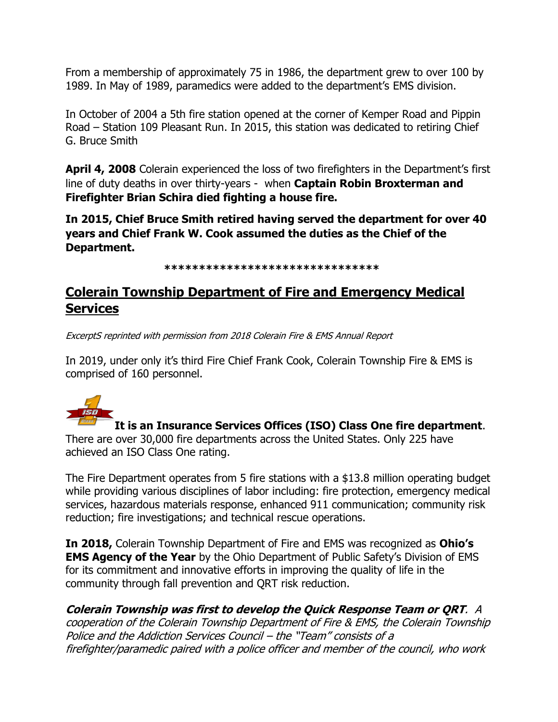From a membership of approximately 75 in 1986, the department grew to over 100 by 1989. In May of 1989, paramedics were added to the department's EMS division.

In October of 2004 a 5th fire station opened at the corner of Kemper Road and Pippin Road – Station 109 Pleasant Run. In 2015, this station was dedicated to retiring Chief G. Bruce Smith

**April 4, 2008** Colerain experienced the loss of two firefighters in the Department's first line of duty deaths in over thirty-years - when **Captain Robin Broxterman and Firefighter Brian Schira died fighting a house fire.**

**In 2015, Chief Bruce Smith retired having served the department for over 40 years and Chief Frank W. Cook assumed the duties as the Chief of the Department.**

**\*\*\*\*\*\*\*\*\*\*\*\*\*\*\*\*\*\*\*\*\*\*\*\*\*\*\*\*\*\*\***

## **Colerain Township Department of Fire and Emergency Medical Services**

ExcerptS reprinted with permission from 2018 Colerain Fire & EMS Annual Report

In 2019, under only it's third Fire Chief Frank Cook, Colerain Township Fire & EMS is comprised of 160 personnel.



**It is an Insurance Services Offices (ISO) Class One fire department**.

There are over 30,000 fire departments across the United States. Only 225 have achieved an ISO Class One rating.

The Fire Department operates from 5 fire stations with a \$13.8 million operating budget while providing various disciplines of labor including: fire protection, emergency medical services, hazardous materials response, enhanced 911 communication; community risk reduction; fire investigations; and technical rescue operations.

**In 2018,** Colerain Township Department of Fire and EMS was recognized as **Ohio's EMS Agency of the Year** by the Ohio Department of Public Safety's Division of EMS for its commitment and innovative efforts in improving the quality of life in the community through fall prevention and QRT risk reduction.

**Colerain Township was first to develop the Quick Response Team or QRT**. A cooperation of the Colerain Township Department of Fire & EMS, the Colerain Township Police and the Addiction Services Council – the "Team" consists of a firefighter/paramedic paired with a police officer and member of the council, who work